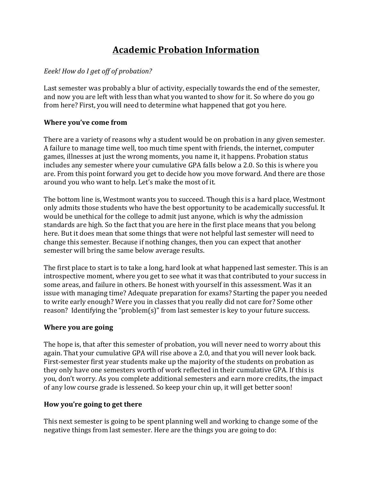# **Academic Probation Information**

## Eeek! How do I get off of probation?

Last semester was probably a blur of activity, especially towards the end of the semester, and now you are left with less than what you wanted to show for it. So where do you go from here? First, you will need to determine what happened that got you here.

## **Where you've come from**

There are a variety of reasons why a student would be on probation in any given semester. A failure to manage time well, too much time spent with friends, the internet, computer games, illnesses at just the wrong moments, you name it, it happens. Probation status includes any semester where your cumulative GPA falls below a 2.0. So this is where you are. From this point forward you get to decide how you move forward. And there are those around you who want to help. Let's make the most of it.

The bottom line is, Westmont wants you to succeed. Though this is a hard place, Westmont only admits those students who have the best opportunity to be academically successful. It would be unethical for the college to admit just anyone, which is why the admission standards are high. So the fact that you are here in the first place means that you belong here. But it does mean that some things that were not helpful last semester will need to change this semester. Because if nothing changes, then you can expect that another semester will bring the same below average results.

The first place to start is to take a long, hard look at what happened last semester. This is an introspective moment, where you get to see what it was that contributed to your success in some areas, and failure in others. Be honest with yourself in this assessment. Was it an issue with managing time? Adequate preparation for exams? Starting the paper you needed to write early enough? Were you in classes that you really did not care for? Some other reason? Identifying the "problem(s)" from last semester is key to your future success.

#### **Where you are going**

The hope is, that after this semester of probation, you will never need to worry about this again. That your cumulative GPA will rise above a 2.0, and that you will never look back. First-semester first year students make up the majority of the students on probation as they only have one semesters worth of work reflected in their cumulative GPA. If this is you, don't worry. As you complete additional semesters and earn more credits, the impact of any low course grade is lessened. So keep your chin up, it will get better soon!

#### How you're going to get there

This next semester is going to be spent planning well and working to change some of the negative things from last semester. Here are the things you are going to do: